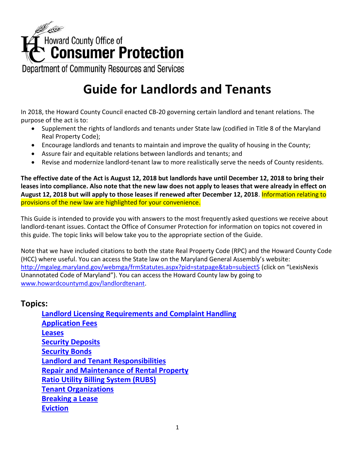

Department of Community Resources and Services

# **Guide for Landlords and Tenants**

In 2018, the Howard County Council enacted CB-20 governing certain landlord and tenant relations. The purpose of the act is to:

- Supplement the rights of landlords and tenants under State law (codified in Title 8 of the Maryland Real Property Code);
- Encourage landlords and tenants to maintain and improve the quality of housing in the County;
- Assure fair and equitable relations between landlords and tenants; and
- Revise and modernize landlord-tenant law to more realistically serve the needs of County residents.

**The effective date of the Act is August 12, 2018 but landlords have until December 12, 2018 to bring their leases into compliance. Also note that the new law does not apply to leases that were already in effect on August 12, 2018 but will apply to those leases if renewed after December 12, 2018**. Information relating to provisions of the new law are highlighted for your convenience.

This Guide is intended to provide you with answers to the most frequently asked questions we receive about landlord-tenant issues. Contact the Office of Consumer Protection for information on topics not covered in this guide. The topic links will below take you to the appropriate section of the Guide.

Note that we have included citations to both the state Real Property Code (RPC) and the Howard County Code (HCC) where useful. You can access the State law on the Maryland General Assembly's website: <http://mgaleg.maryland.gov/webmga/frmStatutes.aspx?pid=statpage&tab=subject5> (click on "LexisNexis Unannotated Code of Maryland"). You can access the Howard County law by going to [www.howardcountymd.gov/landlordtenant.](http://www.howardcountymd.gov/landlordtenant)

### **Topics:**

**[Landlord Licensing Requirements and Complaint Handling](#page-1-0) [Application Fees](#page-2-0) [Leases](#page-3-0) [Security Deposits](#page-6-0) [Security Bonds](#page-8-0) [Landlord and Tenant Responsibilities](#page-8-1) [Repair and Maintenance of Rental Property](#page-10-0) [Ratio Utility Billing System \(RUBS\)](#page-12-0) [Tenant Organizations](#page-14-0) [Breaking a Lease](#page-14-1) [Eviction](#page-16-0)**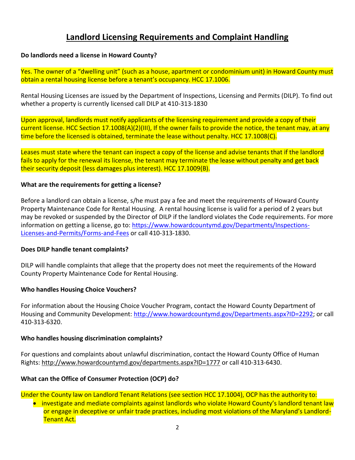## **Landlord Licensing Requirements and Complaint Handling**

#### <span id="page-1-0"></span>**Do landlords need a license in Howard County?**

Yes. The owner of a "dwelling unit" (such as a house, apartment or condominium unit) in Howard County must obtain a rental housing license before a tenant's occupancy. HCC 17.1006.

Rental Housing Licenses are issued by the Department of Inspections, Licensing and Permits (DILP). To find out whether a property is currently licensed call DILP at 410-313-1830

Upon approval, landlords must notify applicants of the licensing requirement and provide a copy of their current license. HCC Section 17.1008(A)(2)(III), If the owner fails to provide the notice, the tenant may, at any time before the licensed is obtained, terminate the lease without penalty. HCC 17.1008(C).

Leases must state where the tenant can inspect a copy of the license and advise tenants that if the landlord fails to apply for the renewal its license, the tenant may terminate the lease without penalty and get back their security deposit (less damages plus interest). HCC 17.1009(B).

#### **What are the requirements for getting a license?**

Before a landlord can obtain a license, s/he must pay a fee and meet the requirements of Howard County Property Maintenance Code for Rental Housing. A rental housing license is valid for a period of 2 years but may be revoked or suspended by the Director of DILP if the landlord violates the Code requirements. For more information on getting a license, go to: [https://www.howardcountymd.gov/Departments/Inspections-](https://www.howardcountymd.gov/Departments/Inspections-Licenses-and-Permits/Forms-and-Fees)[Licenses-and-Permits/Forms-and-Fees](https://www.howardcountymd.gov/Departments/Inspections-Licenses-and-Permits/Forms-and-Fees) or call 410-313-1830.

#### **Does DILP handle tenant complaints?**

DILP will handle complaints that allege that the property does not meet the requirements of the Howard County Property Maintenance Code for Rental Housing.

#### **Who handles Housing Choice Vouchers?**

For information about the Housing Choice Voucher Program, contact the Howard County Department of Housing and Community Development: [http://www.howardcountymd.gov/Departments.aspx?ID=2292;](http://www.howardcountymd.gov/Departments.aspx?ID=2292) or call 410-313-6320.

#### **Who handles housing discrimination complaints?**

For questions and complaints about unlawful discrimination, contact the Howard County Office of Human Rights:<http://www.howardcountymd.gov/departments.aspx?ID=1777> or call 410-313-6430.

#### **What can the Office of Consumer Protection (OCP) do?**

Under the County law on Landlord Tenant Relations (see section HCC 17.1004), OCP has the authority to:

• investigate and mediate complaints against landlords who violate Howard County's landlord tenant law or engage in deceptive or unfair trade practices, including most violations of the Maryland's Landlord-Tenant Act.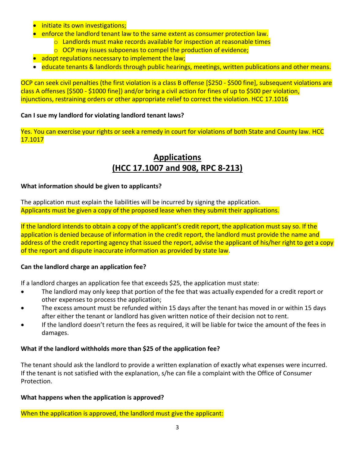- **•** initiate its own investigations;
- enforce the landlord tenant law to the same extent as consumer protection law.
	- $\circ$  Landlords must make records available for inspection at reasonable times
	- $\circ$  OCP may issues subpoenas to compel the production of evidence;
- adopt regulations necessary to implement the law;
- educate tenants & landlords through public hearings, meetings, written publications and other means.

OCP can seek civil penalties (the first violation is a class B offense [\$250 - \$500 fine], subsequent violations are class A offenses [\$500 - \$1000 fine]) and/or bring a civil action for fines of up to \$500 per violation, injunctions, restraining orders or other appropriate relief to correct the violation. HCC 17.1016

#### **Can I sue my landlord for violating landlord tenant laws?**

<span id="page-2-0"></span>Yes. You can exercise your rights or seek a remedy in court for violations of both State and County law. HCC 17.1017

## **Applications (HCC 17.1007 and 908, RPC 8-213)**

#### **What information should be given to applicants?**

The application must explain the liabilities will be incurred by signing the application. Applicants must be given a copy of the proposed lease when they submit their applications.

If the landlord intends to obtain a copy of the applicant's credit report, the application must say so. If the application is denied because of information in the credit report, the landlord must provide the name and address of the credit reporting agency that issued the report, advise the applicant of his/her right to get a copy of the report and dispute inaccurate information as provided by state law.

#### **Can the landlord charge an application fee?**

If a landlord charges an application fee that exceeds \$25, the application must state:

- The landlord may only keep that portion of the fee that was actually expended for a credit report or other expenses to process the application;
- The excess amount must be refunded within 15 days after the tenant has moved in or within 15 days after either the tenant or landlord has given written notice of their decision not to rent.
- If the landlord doesn't return the fees as required, it will be liable for twice the amount of the fees in damages.

#### **What if the landlord withholds more than \$25 of the application fee?**

The tenant should ask the landlord to provide a written explanation of exactly what expenses were incurred. If the tenant is not satisfied with the explanation, s/he can file a complaint with the Office of Consumer Protection.

#### **What happens when the application is approved?**

When the application is approved, the landlord must give the applicant: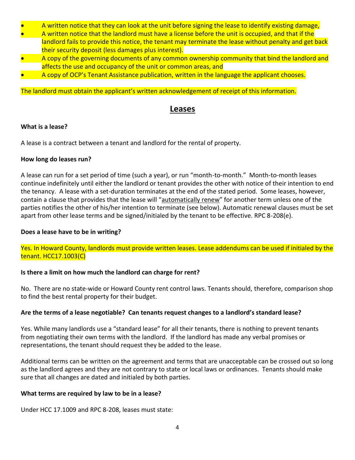- A written notice that they can look at the unit before signing the lease to identify existing damage,
- A written notice that the landlord must have a license before the unit is occupied, and that if the landlord fails to provide this notice, the tenant may terminate the lease without penalty and get back their security deposit (less damages plus interest).
- A copy of the governing documents of any common ownership community that bind the landlord and affects the use and occupancy of the unit or common areas, and
- A copy of OCP's Tenant Assistance publication, written in the language the applicant chooses.

<span id="page-3-0"></span>The landlord must obtain the applicant's written acknowledgement of receipt of this information.

### **Leases**

#### **What is a lease?**

A lease is a contract between a tenant and landlord for the rental of property.

#### **How long do leases run?**

A lease can run for a set period of time (such a year), or run "month-to-month." Month-to-month leases continue indefinitely until either the landlord or tenant provides the other with notice of their intention to end the tenancy. A lease with a set-duration terminates at the end of the stated period. Some leases, however, contain a clause that provides that the lease will "automatically renew" for another term unless one of the parties notifies the other of his/her intention to terminate (see below). Automatic renewal clauses must be set apart from other lease terms and be signed/initialed by the tenant to be effective. RPC 8-208(e).

#### **Does a lease have to be in writing?**

Yes. In Howard County, landlords must provide written leases. Lease addendums can be used if initialed by the tenant. HCC17.1003(C)

#### **Is there a limit on how much the landlord can charge for rent?**

No. There are no state-wide or Howard County rent control laws. Tenants should, therefore, comparison shop to find the best rental property for their budget.

#### **Are the terms of a lease negotiable? Can tenants request changes to a landlord's standard lease?**

Yes. While many landlords use a "standard lease" for all their tenants, there is nothing to prevent tenants from negotiating their own terms with the landlord. If the landlord has made any verbal promises or representations, the tenant should request they be added to the lease.

Additional terms can be written on the agreement and terms that are unacceptable can be crossed out so long as the landlord agrees and they are not contrary to state or local laws or ordinances. Tenants should make sure that all changes are dated and initialed by both parties.

#### **What terms are required by law to be in a lease?**

Under HCC 17.1009 and RPC 8-208, leases must state: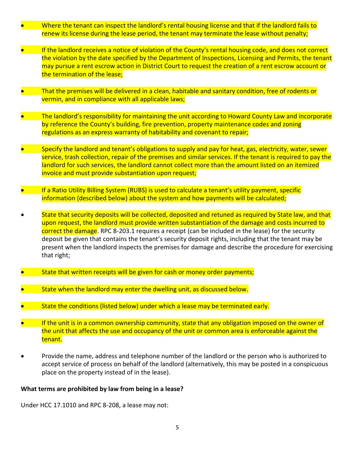- Where the tenant can inspect the landlord's rental housing license and that if the landlord fails to renew its license during the lease period, the tenant may terminate the lease without penalty;
- If the landlord receives a notice of violation of the County's rental housing code, and does not correct the violation by the date specified by the Department of Inspections, Licensing and Permits, the tenant may pursue a rent escrow action in District Court to request the creation of a rent escrow account or the termination of the lease;
- That the premises will be delivered in a clean, habitable and sanitary condition, free of rodents or vermin, and in compliance with all applicable laws;
- The landlord's responsibility for maintaining the unit according to Howard County Law and incorporate by reference the County's building, fire prevention, property maintenance codes and zoning regulations as an express warranty of habitability and covenant to repair;
- Specify the landlord and tenant's obligations to supply and pay for heat, gas, electricity, water, sewer service, trash collection, repair of the premises and similar services. If the tenant is required to pay the landlord for such services, the landlord cannot collect more than the amount listed on an itemized invoice and must provide substantiation upon request;
- If a Ratio Utility Billing System (RUBS) is used to calculate a tenant's utility payment, specific information (described below) about the system and how payments will be calculated;
- State that security deposits will be collected, deposited and retuned as required by State law, and that upon request, the landlord must provide written substantiation of the damage and costs incurred to correct the damage. RPC 8-203.1 requires a receipt (can be included in the lease) for the security deposit be given that contains the tenant's security deposit rights, including that the tenant may be present when the landlord inspects the premises for damage and describe the procedure for exercising that right;
- State that written receipts will be given for cash or money order payments;
- State when the landlord may enter the dwelling unit, as discussed below.
- State the conditions (listed below) under which a lease may be terminated early.
- If the unit is in a common ownership community, state that any obligation imposed on the owner of the unit that affects the use and occupancy of the unit or common area is enforceable against the tenant.
- Provide the name, address and telephone number of the landlord or the person who is authorized to accept service of process on behalf of the landlord (alternatively, this may be posted in a conspicuous place on the property instead of in the lease).

#### **What terms are prohibited by law from being in a lease?**

Under HCC 17.1010 and RPC 8-208, a lease may not: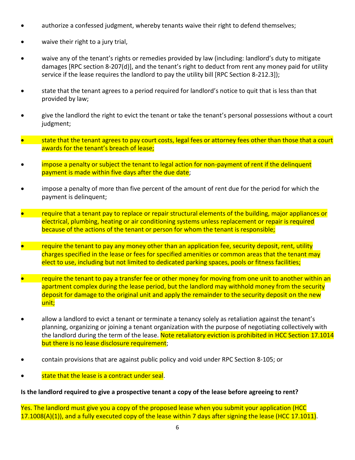- authorize a confessed judgment, whereby tenants waive their right to defend themselves;
- waive their right to a jury trial,
- waive any of the tenant's rights or remedies provided by law (including: landlord's duty to mitigate damages [RPC section 8-207(d)], and the tenant's right to deduct from rent any money paid for utility service if the lease requires the landlord to pay the utility bill [RPC Section 8-212.3]);
- state that the tenant agrees to a period required for landlord's notice to quit that is less than that provided by law;
- give the landlord the right to evict the tenant or take the tenant's personal possessions without a court judgment;
- state that the tenant agrees to pay court costs, legal fees or attorney fees other than those that a court awards for the tenant's breach of lease;
- impose a penalty or subject the tenant to legal action for non-payment of rent if the delinquent payment is made within five days after the due date;
- impose a penalty of more than five percent of the amount of rent due for the period for which the payment is delinquent;
- require that a tenant pay to replace or repair structural elements of the building, major appliances or electrical, plumbing, heating or air conditioning systems unless replacement or repair is required because of the actions of the tenant or person for whom the tenant is responsible;
- require the tenant to pay any money other than an application fee, security deposit, rent, utility charges specified in the lease or fees for specified amenities or common areas that the tenant may elect to use, including but not limited to dedicated parking spaces, pools or fitness facilities;
- require the tenant to pay a transfer fee or other money for moving from one unit to another within an apartment complex during the lease period, but the landlord may withhold money from the security deposit for damage to the original unit and apply the remainder to the security deposit on the new unit;
- allow a landlord to evict a tenant or terminate a tenancy solely as retaliation against the tenant's planning, organizing or joining a tenant organization with the purpose of negotiating collectively with the landlord during the term of the lease. Note retaliatory eviction is prohibited in HCC Section 17.1014 but there is no lease disclosure requirement;
- contain provisions that are against public policy and void under RPC Section 8-105; or
- state that the lease is a contract under seal.

#### **Is the landlord required to give a prospective tenant a copy of the lease before agreeing to rent?**

Yes. The landlord must give you a copy of the proposed lease when you submit your application (HCC 17.1008(A)(1)), and a fully executed copy of the lease within 7 days after signing the lease (HCC 17.1011).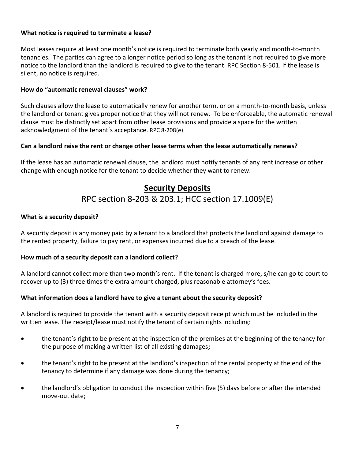#### **What notice is required to terminate a lease?**

Most leases require at least one month's notice is required to terminate both yearly and month-to-month tenancies. The parties can agree to a longer notice period so long as the tenant is not required to give more notice to the landlord than the landlord is required to give to the tenant. RPC Section 8-501. If the lease is silent, no notice is required.

#### **How do "automatic renewal clauses" work?**

Such clauses allow the lease to automatically renew for another term, or on a month-to-month basis, unless the landlord or tenant gives proper notice that they will not renew. To be enforceable, the automatic renewal clause must be distinctly set apart from other lease provisions and provide a space for the written acknowledgment of the tenant's acceptance. RPC 8-208(e).

#### **Can a landlord raise the rent or change other lease terms when the lease automatically renews?**

<span id="page-6-0"></span>If the lease has an automatic renewal clause, the landlord must notify tenants of any rent increase or other change with enough notice for the tenant to decide whether they want to renew.

## **Security Deposits** RPC section 8-203 & 203.1; HCC section 17.1009(E)

#### **What is a security deposit?**

A security deposit is any money paid by a tenant to a landlord that protects the landlord against damage to the rented property, failure to pay rent, or expenses incurred due to a breach of the lease.

#### **How much of a security deposit can a landlord collect?**

A landlord cannot collect more than two month's rent. If the tenant is charged more, s/he can go to court to recover up to (3) three times the extra amount charged, plus reasonable attorney's fees.

#### **What information does a landlord have to give a tenant about the security deposit?**

A landlord is required to provide the tenant with a security deposit receipt which must be included in the written lease. The receipt/lease must notify the tenant of certain rights including:

- the tenant's right to be present at the inspection of the premises at the beginning of the tenancy for the purpose of making a written list of all existing damages**;**
- the tenant's right to be present at the landlord's inspection of the rental property at the end of the tenancy to determine if any damage was done during the tenancy;
- the landlord's obligation to conduct the inspection within five (5) days before or after the intended move-out date;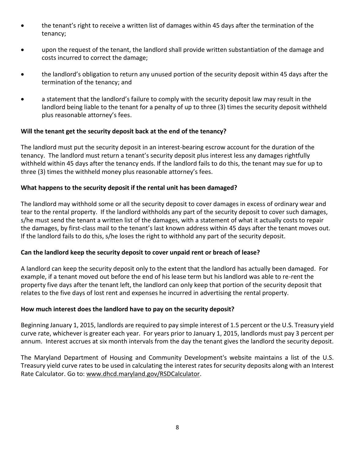- the tenant's right to receive a written list of damages within 45 days after the termination of the tenancy;
- upon the request of the tenant, the landlord shall provide written substantiation of the damage and costs incurred to correct the damage;
- the landlord's obligation to return any unused portion of the security deposit within 45 days after the termination of the tenancy; and
- a statement that the landlord's failure to comply with the security deposit law may result in the landlord being liable to the tenant for a penalty of up to three (3) times the security deposit withheld plus reasonable attorney's fees.

#### **Will the tenant get the security deposit back at the end of the tenancy?**

The landlord must put the security deposit in an interest-bearing escrow account for the duration of the tenancy. The landlord must return a tenant's security deposit plus interest less any damages rightfully withheld within 45 days after the tenancy ends. If the landlord fails to do this, the tenant may sue for up to three (3) times the withheld money plus reasonable attorney's fees.

#### **What happens to the security deposit if the rental unit has been damaged?**

The landlord may withhold some or all the security deposit to cover damages in excess of ordinary wear and tear to the rental property. If the landlord withholds any part of the security deposit to cover such damages, s/he must send the tenant a written list of the damages, with a statement of what it actually costs to repair the damages, by first-class mail to the tenant's last known address within 45 days after the tenant moves out. If the landlord fails to do this, s/he loses the right to withhold any part of the security deposit.

#### **Can the landlord keep the security deposit to cover unpaid rent or breach of lease?**

A landlord can keep the security deposit only to the extent that the landlord has actually been damaged. For example, if a tenant moved out before the end of his lease term but his landlord was able to re-rent the property five days after the tenant left, the landlord can only keep that portion of the security deposit that relates to the five days of lost rent and expenses he incurred in advertising the rental property.

#### **How much interest does the landlord have to pay on the security deposit?**

Beginning January 1, 2015, landlords are required to pay simple interest of 1.5 percent or the U.S. Treasury yield curve rate, whichever is greater each year. For years prior to January 1, 2015, landlords must pay 3 percent per annum. Interest accrues at six month intervals from the day the tenant gives the landlord the security deposit.

The Maryland Department of Housing and Community Development's website maintains a list of the U.S. Treasury yield curve rates to be used in calculating the interest rates for security deposits along with an Interest Rate Calculator. Go to: [www.dhcd.maryland.gov/RSDCalculator.](http://www.dhcd.maryland.gov/RSDCalculator)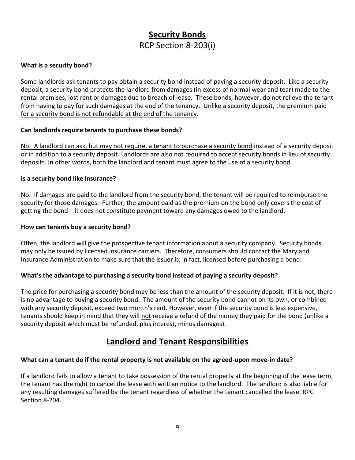## **Security Bonds** RCP Section 8-203(i)

#### <span id="page-8-0"></span>**What is a security bond?**

Some landlords ask tenants to pay obtain a security bond instead of paying a security deposit. Like a security deposit, a security bond protects the landlord from damages (in excess of normal wear and tear) made to the rental premises, lost rent or damages due to breach of lease. These bonds, however, do not relieve the tenant from having to pay for such damages at the end of the tenancy. Unlike a security deposit, the premium paid for a security bond is not refundable at the end of the tenancy.

#### **Can landlords require tenants to purchase these bonds?**

No. A landlord can ask, but may not require, a tenant to purchase a security bond instead of a security deposit or in addition to a security deposit. Landlords are also not required to accept security bonds in lieu of security deposits. In other words, both the landlord and tenant must agree to the use of a security bond.

#### **Is a security bond like insurance?**

No. If damages are paid to the landlord from the security bond, the tenant will be required to reimburse the security for those damages. Further, the amount paid as the premium on the bond only covers the cost of getting the bond – it does not constitute payment toward any damages owed to the landlord.

#### **How can tenants buy a security bond?**

Often, the landlord will give the prospective tenant information about a security company. Security bonds may only be issued by licensed insurance carriers. Therefore, consumers should contact the Maryland Insurance Administration to make sure that the issuer is, in fact, licensed before purchasing a bond.

#### **What's the advantage to purchasing a security bond instead of paying a security deposit?**

The price for purchasing a security bond may be less than the amount of the security deposit. If it is not, there is no advantage to buying a security bond. The amount of the security bond cannot on its own, or combined with any security deposit, exceed two month's rent. However, even if the security bond is less expensive, tenants should keep in mind that they will not receive a refund of the money they paid for the bond (unlike a security deposit which must be refunded, plus interest, minus damages).

## **Landlord and Tenant Responsibilities**

#### <span id="page-8-1"></span>**What can a tenant do if the rental property is not available on the agreed-upon move-in date?**

If a landlord fails to allow a tenant to take possession of the rental property at the beginning of the lease term, the tenant has the right to cancel the lease with written notice to the landlord. The landlord is also liable for any resulting damages suffered by the tenant regardless of whether the tenant cancelled the lease. RPC Section 8-204.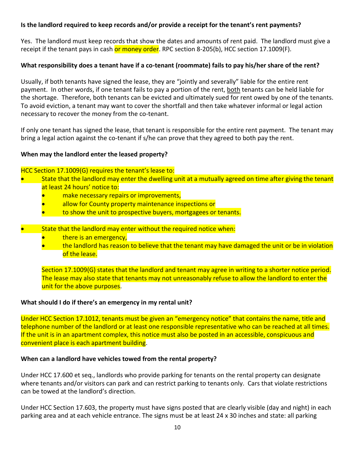#### **Is the landlord required to keep records and/or provide a receipt for the tenant's rent payments?**

Yes. The landlord must keep records that show the dates and amounts of rent paid. The landlord must give a receipt if the tenant pays in cash or money order. RPC section 8-205(b), HCC section 17.1009(F).

#### **What responsibility does a tenant have if a co-tenant (roommate) fails to pay his/her share of the rent?**

Usually, if both tenants have signed the lease, they are "jointly and severally" liable for the entire rent payment. In other words, if one tenant fails to pay a portion of the rent, both tenants can be held liable for the shortage. Therefore, both tenants can be evicted and ultimately sued for rent owed by one of the tenants. To avoid eviction, a tenant may want to cover the shortfall and then take whatever informal or legal action necessary to recover the money from the co-tenant.

If only one tenant has signed the lease, that tenant is responsible for the entire rent payment. The tenant may bring a legal action against the co-tenant if s/he can prove that they agreed to both pay the rent.

#### **When may the landlord enter the leased property?**

#### HCC Section 17.1009(G) requires the tenant's lease to:

- State that the landlord may enter the dwelling unit at a mutually agreed on time after giving the tenant at least 24 hours' notice to:
	- make necessary repairs or improvements,
	- allow for County property maintenance inspections or
	- to show the unit to prospective buyers, mortgagees or tenants.
- State that the landlord may enter without the required notice when:
	- **•** there is an emergency,
	- the landlord has reason to believe that the tenant may have damaged the unit or be in violation of the lease.

Section 17.1009(G) states that the landlord and tenant may agree in writing to a shorter notice period. The lease may also state that tenants may not unreasonably refuse to allow the landlord to enter the unit for the above purposes.

#### **What should I do if there's an emergency in my rental unit?**

Under HCC Section 17.1012, tenants must be given an "emergency notice" that contains the name, title and telephone number of the landlord or at least one responsible representative who can be reached at all times. If the unit is in an apartment complex, this notice must also be posted in an accessible, conspicuous and convenient place is each apartment building.

#### **When can a landlord have vehicles towed from the rental property?**

Under HCC 17.600 et seq., landlords who provide parking for tenants on the rental property can designate where tenants and/or visitors can park and can restrict parking to tenants only. Cars that violate restrictions can be towed at the landlord's direction.

Under HCC Section 17.603, the property must have signs posted that are clearly visible (day and night) in each parking area and at each vehicle entrance. The signs must be at least 24 x 30 inches and state: all parking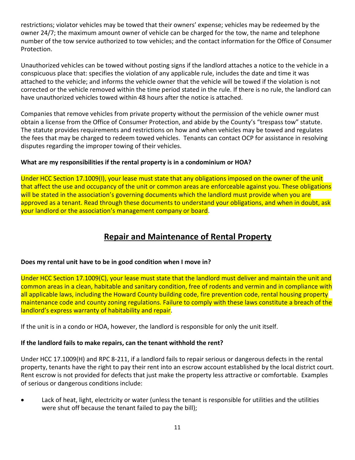restrictions; violator vehicles may be towed that their owners' expense; vehicles may be redeemed by the owner 24/7; the maximum amount owner of vehicle can be charged for the tow, the name and telephone number of the tow service authorized to tow vehicles; and the contact information for the Office of Consumer Protection.

Unauthorized vehicles can be towed without posting signs if the landlord attaches a notice to the vehicle in a conspicuous place that: specifies the violation of any applicable rule, includes the date and time it was attached to the vehicle; and informs the vehicle owner that the vehicle will be towed if the violation is not corrected or the vehicle removed within the time period stated in the rule. If there is no rule, the landlord can have unauthorized vehicles towed within 48 hours after the notice is attached.

Companies that remove vehicles from private property without the permission of the vehicle owner must obtain a license from the Office of Consumer Protection, and abide by the County's "trespass tow" statute. The statute provides requirements and restrictions on how and when vehicles may be towed and regulates the fees that may be charged to redeem towed vehicles. Tenants can contact OCP for assistance in resolving disputes regarding the improper towing of their vehicles.

#### **What are my responsibilities if the rental property is in a condominium or HOA?**

Under HCC Section 17.1009(I), your lease must state that any obligations imposed on the owner of the unit that affect the use and occupancy of the unit or common areas are enforceable against you. These obligations will be stated in the association's governing documents which the landlord must provide when you are approved as a tenant. Read through these documents to understand your obligations, and when in doubt, ask your landlord or the association's management company or board.

## **Repair and Maintenance of Rental Property**

#### <span id="page-10-0"></span>**Does my rental unit have to be in good condition when I move in?**

Under HCC Section 17.1009(C), your lease must state that the landlord must deliver and maintain the unit and common areas in a clean, habitable and sanitary condition, free of rodents and vermin and in compliance with all applicable laws, including the Howard County building code, fire prevention code, rental housing property maintenance code and county zoning regulations. Failure to comply with these laws constitute a breach of the landlord's express warranty of habitability and repair.

If the unit is in a condo or HOA, however, the landlord is responsible for only the unit itself.

#### **If the landlord fails to make repairs, can the tenant withhold the rent?**

Under HCC 17.1009(H) and RPC 8-211, if a landlord fails to repair serious or dangerous defects in the rental property, tenants have the right to pay their rent into an escrow account established by the local district court. Rent escrow is not provided for defects that just make the property less attractive or comfortable. Examples of serious or dangerous conditions include:

• Lack of heat, light, electricity or water (unless the tenant is responsible for utilities and the utilities were shut off because the tenant failed to pay the bill);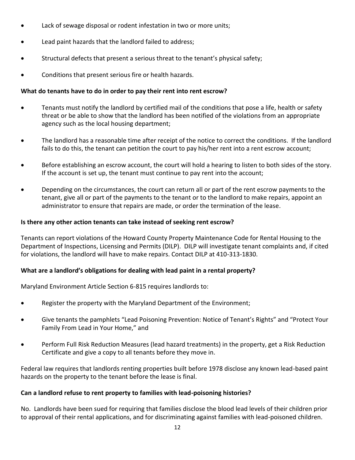- Lack of sewage disposal or rodent infestation in two or more units;
- Lead paint hazards that the landlord failed to address;
- Structural defects that present a serious threat to the tenant's physical safety;
- Conditions that present serious fire or health hazards.

#### **What do tenants have to do in order to pay their rent into rent escrow?**

- Tenants must notify the landlord by certified mail of the conditions that pose a life, health or safety threat or be able to show that the landlord has been notified of the violations from an appropriate agency such as the local housing department;
- The landlord has a reasonable time after receipt of the notice to correct the conditions. If the landlord fails to do this, the tenant can petition the court to pay his/her rent into a rent escrow account;
- Before establishing an escrow account, the court will hold a hearing to listen to both sides of the story. If the account is set up, the tenant must continue to pay rent into the account;
- Depending on the circumstances, the court can return all or part of the rent escrow payments to the tenant, give all or part of the payments to the tenant or to the landlord to make repairs, appoint an administrator to ensure that repairs are made, or order the termination of the lease.

#### **Is there any other action tenants can take instead of seeking rent escrow?**

Tenants can report violations of the Howard County Property Maintenance Code for Rental Housing to the Department of Inspections, Licensing and Permits (DILP). DILP will investigate tenant complaints and, if cited for violations, the landlord will have to make repairs. Contact DILP at 410-313-1830.

#### **What are a landlord's obligations for dealing with lead paint in a rental property?**

Maryland Environment Article Section 6-815 requires landlords to:

- Register the property with the Maryland Department of the Environment;
- Give tenants the pamphlets "Lead Poisoning Prevention: Notice of Tenant's Rights" and "Protect Your Family From Lead in Your Home," and
- Perform Full Risk Reduction Measures (lead hazard treatments) in the property, get a Risk Reduction Certificate and give a copy to all tenants before they move in.

Federal law requires that landlords renting properties built before 1978 disclose any known lead-based paint hazards on the property to the tenant before the lease is final.

#### **Can a landlord refuse to rent property to families with lead-poisoning histories?**

No. Landlords have been sued for requiring that families disclose the blood lead levels of their children prior to approval of their rental applications, and for discriminating against families with lead-poisoned children.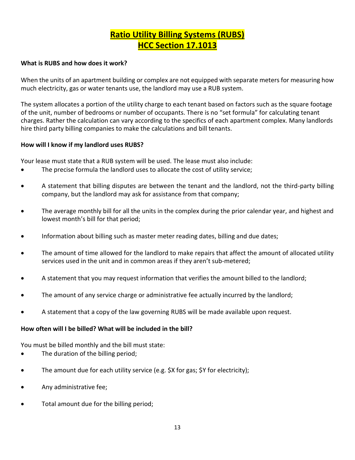## **Ratio Utility Billing Systems (RUBS) HCC Section 17.1013**

#### <span id="page-12-0"></span>**What is RUBS and how does it work?**

When the units of an apartment building or complex are not equipped with separate meters for measuring how much electricity, gas or water tenants use, the landlord may use a RUB system.

The system allocates a portion of the utility charge to each tenant based on factors such as the square footage of the unit, number of bedrooms or number of occupants. There is no "set formula" for calculating tenant charges. Rather the calculation can vary according to the specifics of each apartment complex. Many landlords hire third party billing companies to make the calculations and bill tenants.

#### **How will I know if my landlord uses RUBS?**

Your lease must state that a RUB system will be used. The lease must also include:

- The precise formula the landlord uses to allocate the cost of utility service;
- A statement that billing disputes are between the tenant and the landlord, not the third-party billing company, but the landlord may ask for assistance from that company;
- The average monthly bill for all the units in the complex during the prior calendar year, and highest and lowest month's bill for that period;
- Information about billing such as master meter reading dates, billing and due dates;
- The amount of time allowed for the landlord to make repairs that affect the amount of allocated utility services used in the unit and in common areas if they aren't sub-metered;
- A statement that you may request information that verifies the amount billed to the landlord;
- The amount of any service charge or administrative fee actually incurred by the landlord;
- A statement that a copy of the law governing RUBS will be made available upon request.

#### **How often will I be billed? What will be included in the bill?**

You must be billed monthly and the bill must state:

- The duration of the billing period;
- The amount due for each utility service (e.g. \$X for gas; \$Y for electricity);
- Any administrative fee;
- Total amount due for the billing period;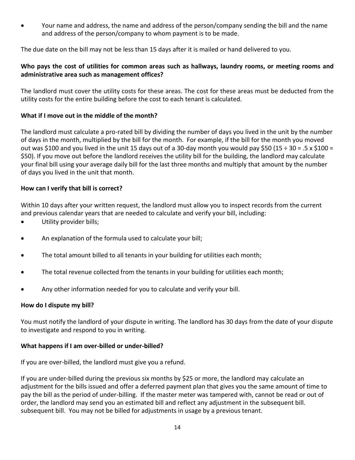• Your name and address, the name and address of the person/company sending the bill and the name and address of the person/company to whom payment is to be made.

The due date on the bill may not be less than 15 days after it is mailed or hand delivered to you.

#### **Who pays the cost of utilities for common areas such as hallways, laundry rooms, or meeting rooms and administrative area such as management offices?**

The landlord must cover the utility costs for these areas. The cost for these areas must be deducted from the utility costs for the entire building before the cost to each tenant is calculated.

#### **What if I move out in the middle of the month?**

The landlord must calculate a pro-rated bill by dividing the number of days you lived in the unit by the number of days in the month, multiplied by the bill for the month. For example, if the bill for the month you moved out was \$100 and you lived in the unit 15 days out of a 30-day month you would pay \$50 (15  $\div$  30 = .5 x \$100 = \$50). If you move out before the landlord receives the utility bill for the building, the landlord may calculate your final bill using your average daily bill for the last three months and multiply that amount by the number of days you lived in the unit that month.

#### **How can I verify that bill is correct?**

Within 10 days after your written request, the landlord must allow you to inspect records from the current and previous calendar years that are needed to calculate and verify your bill, including:

- Utility provider bills;
- An explanation of the formula used to calculate your bill;
- The total amount billed to all tenants in your building for utilities each month;
- The total revenue collected from the tenants in your building for utilities each month;
- Any other information needed for you to calculate and verify your bill.

#### **How do I dispute my bill?**

You must notify the landlord of your dispute in writing. The landlord has 30 days from the date of your dispute to investigate and respond to you in writing.

#### **What happens if I am over-billed or under-billed?**

If you are over-billed, the landlord must give you a refund.

If you are under-billed during the previous six months by \$25 or more, the landlord may calculate an adjustment for the bills issued and offer a deferred payment plan that gives you the same amount of time to pay the bill as the period of under-billing. If the master meter was tampered with, cannot be read or out of order, the landlord may send you an estimated bill and reflect any adjustment in the subsequent bill. subsequent bill. You may not be billed for adjustments in usage by a previous tenant.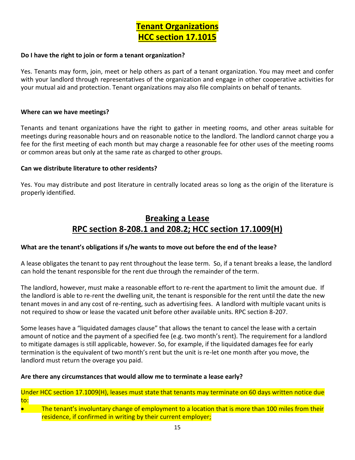#### <span id="page-14-0"></span>**Do I have the right to join or form a tenant organization?**

Yes. Tenants may form, join, meet or help others as part of a tenant organization. You may meet and confer with your landlord through representatives of the organization and engage in other cooperative activities for your mutual aid and protection. Tenant organizations may also file complaints on behalf of tenants.

#### **Where can we have meetings?**

Tenants and tenant organizations have the right to gather in meeting rooms, and other areas suitable for meetings during reasonable hours and on reasonable notice to the landlord. The landlord cannot charge you a fee for the first meeting of each month but may charge a reasonable fee for other uses of the meeting rooms or common areas but only at the same rate as charged to other groups.

#### **Can we distribute literature to other residents?**

Yes. You may distribute and post literature in centrally located areas so long as the origin of the literature is properly identified.

## **Breaking a Lease RPC section 8-208.1 and 208.2; HCC section 17.1009(H)**

#### <span id="page-14-1"></span>**What are the tenant's obligations if s/he wants to move out before the end of the lease?**

A lease obligates the tenant to pay rent throughout the lease term. So, if a tenant breaks a lease, the landlord can hold the tenant responsible for the rent due through the remainder of the term.

The landlord, however, must make a reasonable effort to re-rent the apartment to limit the amount due. If the landlord is able to re-rent the dwelling unit, the tenant is responsible for the rent until the date the new tenant moves in and any cost of re-renting, such as advertising fees. A landlord with multiple vacant units is not required to show or lease the vacated unit before other available units. RPC section 8-207.

Some leases have a "liquidated damages clause" that allows the tenant to cancel the lease with a certain amount of notice and the payment of a specified fee (e.g. two month's rent). The requirement for a landlord to mitigate damages is still applicable, however. So, for example, if the liquidated damages fee for early termination is the equivalent of two month's rent but the unit is re-let one month after you move, the landlord must return the overage you paid.

#### **Are there any circumstances that would allow me to terminate a lease early?**

Under HCC section 17.1009(H), leases must state that tenants may terminate on 60 days written notice due to:

The tenant's involuntary change of employment to a location that is more than 100 miles from their residence, if confirmed in writing by their current employer;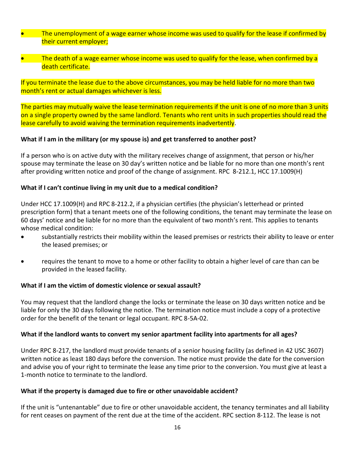- The unemployment of a wage earner whose income was used to qualify for the lease if confirmed by their current employer;
- The death of a wage earner whose income was used to qualify for the lease, when confirmed by a death certificate.

If you terminate the lease due to the above circumstances, you may be held liable for no more than two month's rent or actual damages whichever is less.

The parties may mutually waive the lease termination requirements if the unit is one of no more than 3 units on a single property owned by the same landlord. Tenants who rent units in such properties should read the lease carefully to avoid waiving the termination requirements inadvertently.

#### **What if I am in the military (or my spouse is) and get transferred to another post?**

If a person who is on active duty with the military receives change of assignment, that person or his/her spouse may terminate the lease on 30 day's written notice and be liable for no more than one month's rent after providing written notice and proof of the change of assignment. RPC 8-212.1, HCC 17.1009(H)

#### **What if I can't continue living in my unit due to a medical condition?**

Under HCC 17.1009(H) and RPC 8-212.2, if a physician certifies (the physician's letterhead or printed prescription form) that a tenant meets one of the following conditions, the tenant may terminate the lease on 60 days' notice and be liable for no more than the equivalent of two month's rent. This applies to tenants whose medical condition:

- substantially restricts their mobility within the leased premises or restricts their ability to leave or enter the leased premises; or
- requires the tenant to move to a home or other facility to obtain a higher level of care than can be provided in the leased facility.

#### **What if I am the victim of domestic violence or sexual assault?**

You may request that the landlord change the locks or terminate the lease on 30 days written notice and be liable for only the 30 days following the notice. The termination notice must include a copy of a protective order for the benefit of the tenant or legal occupant. RPC 8-5A-02.

#### **What if the landlord wants to convert my senior apartment facility into apartments for all ages?**

Under RPC 8-217, the landlord must provide tenants of a senior housing facility (as defined in 42 USC 3607) written notice as least 180 days before the conversion. The notice must provide the date for the conversion and advise you of your right to terminate the lease any time prior to the conversion. You must give at least a 1-month notice to terminate to the landlord.

#### **What if the property is damaged due to fire or other unavoidable accident?**

If the unit is "untenantable" due to fire or other unavoidable accident, the tenancy terminates and all liability for rent ceases on payment of the rent due at the time of the accident. RPC section 8-112. The lease is not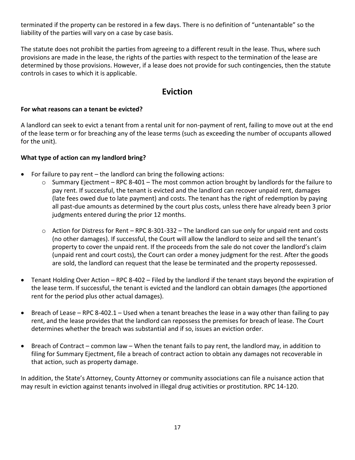terminated if the property can be restored in a few days. There is no definition of "untenantable" so the liability of the parties will vary on a case by case basis.

The statute does not prohibit the parties from agreeing to a different result in the lease. Thus, where such provisions are made in the lease, the rights of the parties with respect to the termination of the lease are determined by those provisions. However, if a lease does not provide for such contingencies, then the statute controls in cases to which it is applicable.

## **Eviction**

#### <span id="page-16-0"></span>**For what reasons can a tenant be evicted?**

A landlord can seek to evict a tenant from a rental unit for non-payment of rent, failing to move out at the end of the lease term or for breaching any of the lease terms (such as exceeding the number of occupants allowed for the unit).

#### **What type of action can my landlord bring?**

- For failure to pay rent the landlord can bring the following actions:
	- $\circ$  Summary Ejectment RPC 8-401 The most common action brought by landlords for the failure to pay rent. If successful, the tenant is evicted and the landlord can recover unpaid rent, damages (late fees owed due to late payment) and costs. The tenant has the right of redemption by paying all past-due amounts as determined by the court plus costs, unless there have already been 3 prior judgments entered during the prior 12 months.
	- $\circ$  Action for Distress for Rent RPC 8-301-332 The landlord can sue only for unpaid rent and costs (no other damages). If successful, the Court will allow the landlord to seize and sell the tenant's property to cover the unpaid rent. If the proceeds from the sale do not cover the landlord's claim (unpaid rent and court costs), the Court can order a money judgment for the rest. After the goods are sold, the landlord can request that the lease be terminated and the property repossessed.
- Tenant Holding Over Action RPC 8-402 Filed by the landlord if the tenant stays beyond the expiration of the lease term. If successful, the tenant is evicted and the landlord can obtain damages (the apportioned rent for the period plus other actual damages).
- Breach of Lease RPC 8-402.1 Used when a tenant breaches the lease in a way other than failing to pay rent, and the lease provides that the landlord can repossess the premises for breach of lease. The Court determines whether the breach was substantial and if so, issues an eviction order.
- Breach of Contract common law When the tenant fails to pay rent, the landlord may, in addition to filing for Summary Ejectment, file a breach of contract action to obtain any damages not recoverable in that action, such as property damage.

In addition, the State's Attorney, County Attorney or community associations can file a nuisance action that may result in eviction against tenants involved in illegal drug activities or prostitution. RPC 14-120.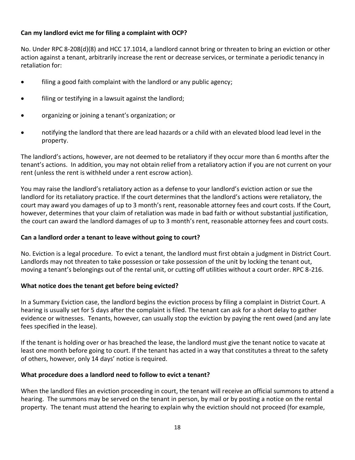#### **Can my landlord evict me for filing a complaint with OCP?**

No. Under RPC 8-208(d)(8) and HCC 17.1014, a landlord cannot bring or threaten to bring an eviction or other action against a tenant, arbitrarily increase the rent or decrease services, or terminate a periodic tenancy in retaliation for:

- filing a good faith complaint with the landlord or any public agency;
- filing or testifying in a lawsuit against the landlord;
- organizing or joining a tenant's organization; or
- notifying the landlord that there are lead hazards or a child with an elevated blood lead level in the property.

The landlord's actions, however, are not deemed to be retaliatory if they occur more than 6 months after the tenant's actions. In addition, you may not obtain relief from a retaliatory action if you are not current on your rent (unless the rent is withheld under a rent escrow action).

You may raise the landlord's retaliatory action as a defense to your landlord's eviction action or sue the landlord for its retaliatory practice. If the court determines that the landlord's actions were retaliatory, the court may award you damages of up to 3 month's rent, reasonable attorney fees and court costs. If the Court, however, determines that your claim of retaliation was made in bad faith or without substantial justification, the court can award the landlord damages of up to 3 month's rent, reasonable attorney fees and court costs.

#### **Can a landlord order a tenant to leave without going to court?**

No. Eviction is a legal procedure. To evict a tenant, the landlord must first obtain a judgment in District Court. Landlords may not threaten to take possession or take possession of the unit by locking the tenant out, moving a tenant's belongings out of the rental unit, or cutting off utilities without a court order. RPC 8-216.

#### **What notice does the tenant get before being evicted?**

In a Summary Eviction case, the landlord begins the eviction process by filing a complaint in District Court. A hearing is usually set for 5 days after the complaint is filed. The tenant can ask for a short delay to gather evidence or witnesses. Tenants, however, can usually stop the eviction by paying the rent owed (and any late fees specified in the lease).

If the tenant is holding over or has breached the lease, the landlord must give the tenant notice to vacate at least one month before going to court. If the tenant has acted in a way that constitutes a threat to the safety of others, however, only 14 days' notice is required.

#### **What procedure does a landlord need to follow to evict a tenant?**

When the landlord files an eviction proceeding in court, the tenant will receive an official summons to attend a hearing. The summons may be served on the tenant in person, by mail or by posting a notice on the rental property. The tenant must attend the hearing to explain why the eviction should not proceed (for example,